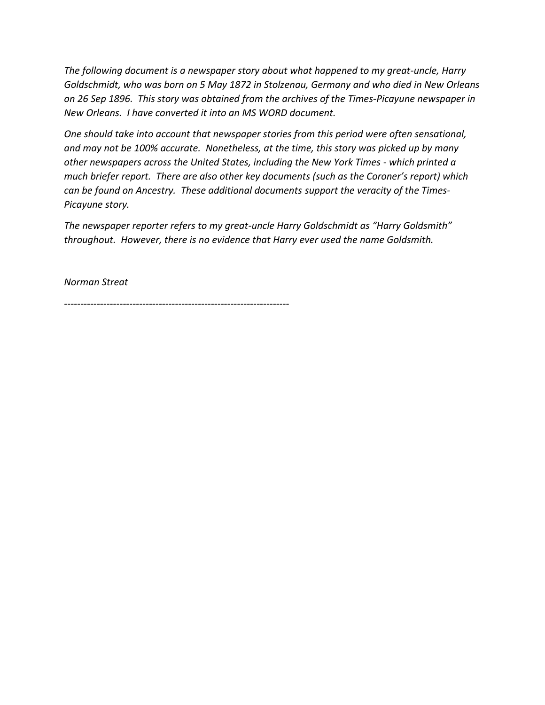*The following document is a newspaper story about what happened to my great-uncle, Harry Goldschmidt, who was born on 5 May 1872 in Stolzenau, Germany and who died in New Orleans on 26 Sep 1896. This story was obtained from the archives of the Times-Picayune newspaper in New Orleans. I have converted it into an MS WORD document.* 

*One should take into account that newspaper stories from this period were often sensational, and may not be 100% accurate. Nonetheless, at the time, this story was picked up by many other newspapers across the United States, including the New York Times - which printed a much briefer report. There are also other key documents (such as the Coroner's report) which can be found on Ancestry. These additional documents support the veracity of the Times-Picayune story.*

*The newspaper reporter refers to my great-uncle Harry Goldschmidt as "Harry Goldsmith" throughout. However, there is no evidence that Harry ever used the name Goldsmith.*

*Norman Streat*

*---------------------------------------------------------------------*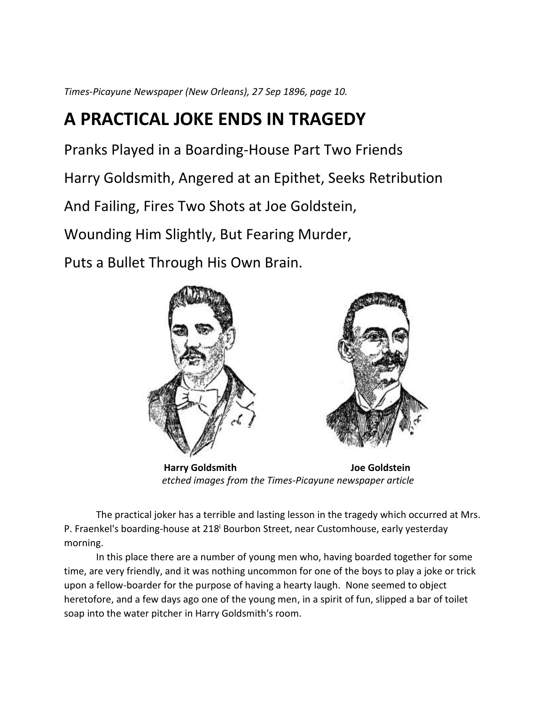*Times-Picayune Newspaper (New Orleans), 27 Sep 1896, page 10.*

## **A PRACTICAL JOKE ENDS IN TRAGEDY**

Pranks Played in a Boarding-House Part Two Friends

Harry Goldsmith, Angered at an Epithet, Seeks Retribution

And Failing, Fires Two Shots at Joe Goldstein,

Wounding Him Slightly, But Fearing Murder,

Puts a Bullet Through His Own Brain.



**Harry Goldsmith State Lines State State State State Inc.** Joe Goldstein *etched images from the Times-Picayune newspaper article*

The practical joker has a terrible and lasting lesson in the tragedy which occurred at Mrs. P. Fraenkel's boarding-house at 218<sup>i</sup> Bourbon Street, near Customhouse, early yesterday morning.

In this place there are a number of young men who, having boarded together for some time, are very friendly, and it was nothing uncommon for one of the boys to play a joke or trick upon a fellow-boarder for the purpose of having a hearty laugh. None seemed to object heretofore, and a few days ago one of the young men, in a spirit of fun, slipped a bar of toilet soap into the water pitcher in Harry Goldsmith's room.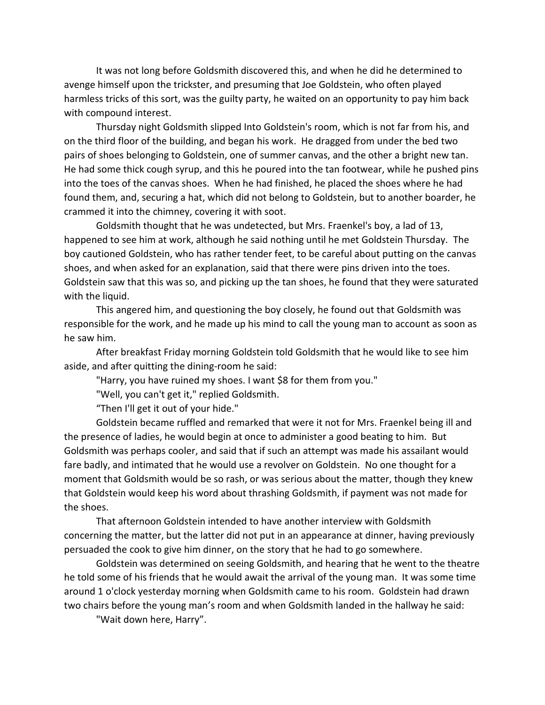It was not long before Goldsmith discovered this, and when he did he determined to avenge himself upon the trickster, and presuming that Joe Goldstein, who often played harmless tricks of this sort, was the guilty party, he waited on an opportunity to pay him back with compound interest.

Thursday night Goldsmith slipped Into Goldstein's room, which is not far from his, and on the third floor of the building, and began his work. He dragged from under the bed two pairs of shoes belonging to Goldstein, one of summer canvas, and the other a bright new tan. He had some thick cough syrup, and this he poured into the tan footwear, while he pushed pins into the toes of the canvas shoes. When he had finished, he placed the shoes where he had found them, and, securing a hat, which did not belong to Goldstein, but to another boarder, he crammed it into the chimney, covering it with soot.

Goldsmith thought that he was undetected, but Mrs. Fraenkel's boy, a lad of 13, happened to see him at work, although he said nothing until he met Goldstein Thursday. The boy cautioned Goldstein, who has rather tender feet, to be careful about putting on the canvas shoes, and when asked for an explanation, said that there were pins driven into the toes. Goldstein saw that this was so, and picking up the tan shoes, he found that they were saturated with the liquid.

This angered him, and questioning the boy closely, he found out that Goldsmith was responsible for the work, and he made up his mind to call the young man to account as soon as he saw him.

After breakfast Friday morning Goldstein told Goldsmith that he would like to see him aside, and after quitting the dining-room he said:

"Harry, you have ruined my shoes. I want \$8 for them from you."

"Well, you can't get it," replied Goldsmith.

"Then I'll get it out of your hide."

Goldstein became ruffled and remarked that were it not for Mrs. Fraenkel being ill and the presence of ladies, he would begin at once to administer a good beating to him. But Goldsmith was perhaps cooler, and said that if such an attempt was made his assailant would fare badly, and intimated that he would use a revolver on Goldstein. No one thought for a moment that Goldsmith would be so rash, or was serious about the matter, though they knew that Goldstein would keep his word about thrashing Goldsmith, if payment was not made for the shoes.

That afternoon Goldstein intended to have another interview with Goldsmith concerning the matter, but the latter did not put in an appearance at dinner, having previously persuaded the cook to give him dinner, on the story that he had to go somewhere.

Goldstein was determined on seeing Goldsmith, and hearing that he went to the theatre he told some of his friends that he would await the arrival of the young man. It was some time around 1 o'clock yesterday morning when Goldsmith came to his room. Goldstein had drawn two chairs before the young man's room and when Goldsmith landed in the hallway he said:

"Wait down here, Harry".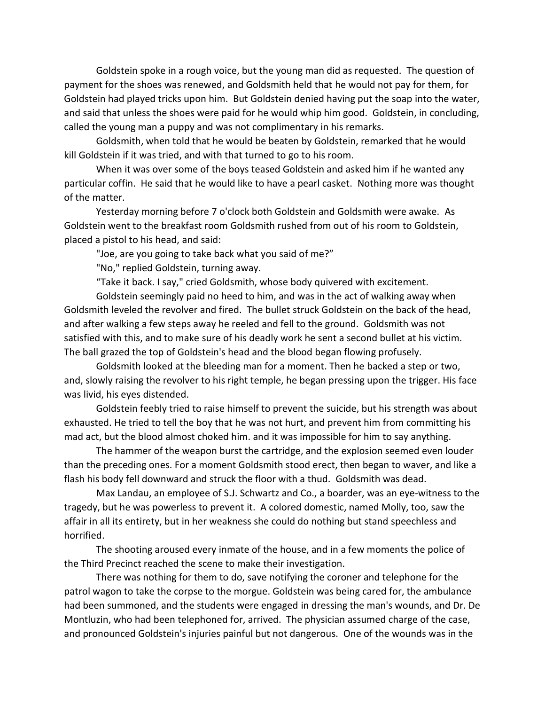Goldstein spoke in a rough voice, but the young man did as requested. The question of payment for the shoes was renewed, and Goldsmith held that he would not pay for them, for Goldstein had played tricks upon him. But Goldstein denied having put the soap into the water, and said that unless the shoes were paid for he would whip him good. Goldstein, in concluding, called the young man a puppy and was not complimentary in his remarks.

Goldsmith, when told that he would be beaten by Goldstein, remarked that he would kill Goldstein if it was tried, and with that turned to go to his room.

When it was over some of the boys teased Goldstein and asked him if he wanted any particular coffin. He said that he would like to have a pearl casket. Nothing more was thought of the matter.

Yesterday morning before 7 o'clock both Goldstein and Goldsmith were awake. As Goldstein went to the breakfast room Goldsmith rushed from out of his room to Goldstein, placed a pistol to his head, and said:

"Joe, are you going to take back what you said of me?"

"No," replied Goldstein, turning away.

"Take it back. I say," cried Goldsmith, whose body quivered with excitement.

Goldstein seemingly paid no heed to him, and was in the act of walking away when Goldsmith leveled the revolver and fired. The bullet struck Goldstein on the back of the head, and after walking a few steps away he reeled and fell to the ground. Goldsmith was not satisfied with this, and to make sure of his deadly work he sent a second bullet at his victim. The ball grazed the top of Goldstein's head and the blood began flowing profusely.

Goldsmith looked at the bleeding man for a moment. Then he backed a step or two, and, slowly raising the revolver to his right temple, he began pressing upon the trigger. His face was livid, his eyes distended.

Goldstein feebly tried to raise himself to prevent the suicide, but his strength was about exhausted. He tried to tell the boy that he was not hurt, and prevent him from committing his mad act, but the blood almost choked him. and it was impossible for him to say anything.

The hammer of the weapon burst the cartridge, and the explosion seemed even louder than the preceding ones. For a moment Goldsmith stood erect, then began to waver, and like a flash his body fell downward and struck the floor with a thud. Goldsmith was dead.

Max Landau, an employee of S.J. Schwartz and Co., a boarder, was an eye-witness to the tragedy, but he was powerless to prevent it. A colored domestic, named Molly, too, saw the affair in all its entirety, but in her weakness she could do nothing but stand speechless and horrified.

The shooting aroused every inmate of the house, and in a few moments the police of the Third Precinct reached the scene to make their investigation.

There was nothing for them to do, save notifying the coroner and telephone for the patrol wagon to take the corpse to the morgue. Goldstein was being cared for, the ambulance had been summoned, and the students were engaged in dressing the man's wounds, and Dr. De Montluzin, who had been telephoned for, arrived. The physician assumed charge of the case, and pronounced Goldstein's injuries painful but not dangerous. One of the wounds was in the